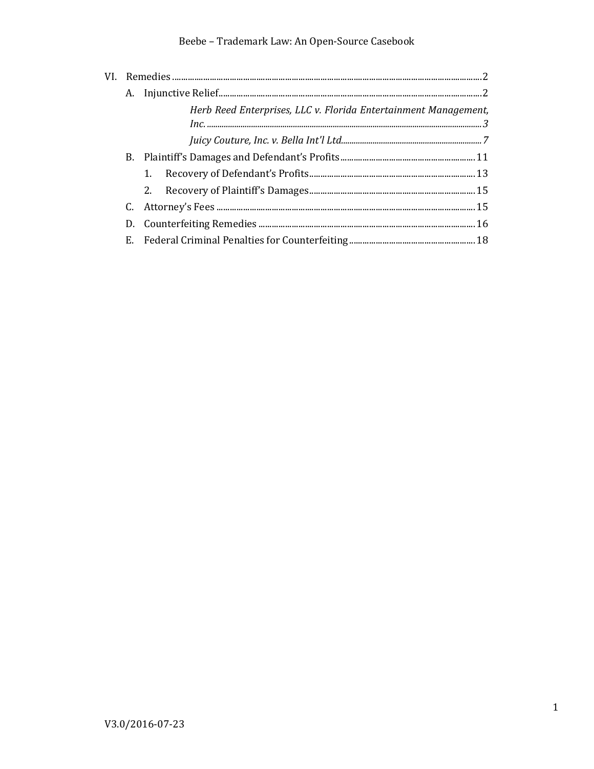# Beebe - Trademark Law: An Open-Source Casebook

|  |  | Herb Reed Enterprises, LLC v. Florida Entertainment Management, |  |  |
|--|--|-----------------------------------------------------------------|--|--|
|  |  |                                                                 |  |  |
|  |  |                                                                 |  |  |
|  |  |                                                                 |  |  |
|  |  | 1.                                                              |  |  |
|  |  |                                                                 |  |  |
|  |  |                                                                 |  |  |
|  |  |                                                                 |  |  |
|  |  |                                                                 |  |  |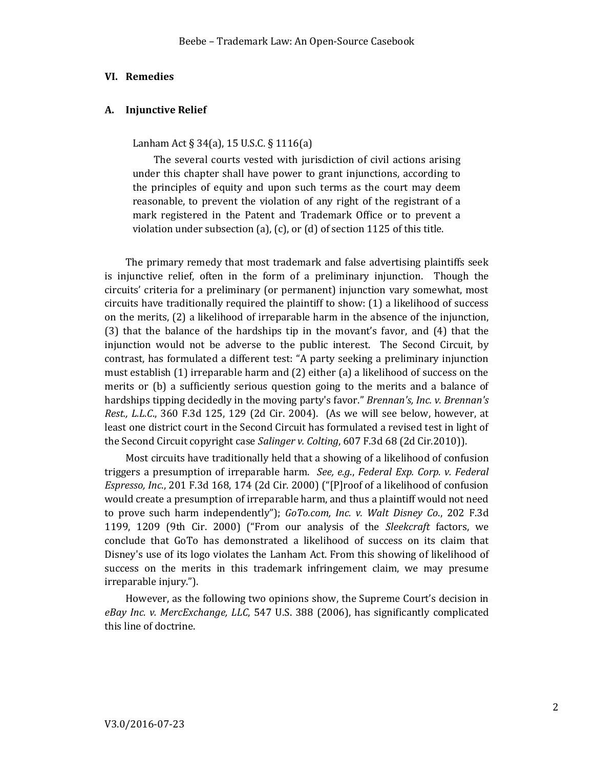### <span id="page-1-0"></span>**VI. Remedies**

## <span id="page-1-1"></span>**A. Injunctive Relief**

Lanham Act § 34(a), 15 U.S.C. § 1116(a)

The several courts vested with jurisdiction of civil actions arising under this chapter shall have power to grant injunctions, according to the principles of equity and upon such terms as the court may deem reasonable, to prevent the violation of any right of the registrant of a mark registered in the Patent and Trademark Office or to prevent a violation under subsection (a), (c), or (d) of section 1125 of this title.

The primary remedy that most trademark and false advertising plaintiffs seek is injunctive relief, often in the form of a preliminary injunction. Though the circuits' criteria for a preliminary (or permanent) injunction vary somewhat, most circuits have traditionally required the plaintiff to show: (1) a likelihood of success on the merits, (2) a likelihood of irreparable harm in the absence of the injunction, (3) that the balance of the hardships tip in the movant's favor, and (4) that the injunction would not be adverse to the public interest. The Second Circuit, by contrast, has formulated a different test: "A party seeking a preliminary injunction must establish (1) irreparable harm and (2) either (a) a likelihood of success on the merits or (b) a sufficiently serious question going to the merits and a balance of hardships tipping decidedly in the moving party's favor." *Brennan's, Inc. v. Brennan's Rest., L.L.C*., 360 F.3d 125, 129 (2d Cir. 2004). (As we will see below, however, at least one district court in the Second Circuit has formulated a revised test in light of the Second Circuit copyright case *Salinger v. Colting*, 607 F.3d 68 (2d Cir.2010)).

Most circuits have traditionally held that a showing of a likelihood of confusion triggers a presumption of irreparable harm. *See, e.g*., *Federal Exp. Corp. v. Federal Espresso, Inc*., 201 F.3d 168, 174 (2d Cir. 2000) ("[P]roof of a likelihood of confusion would create a presumption of irreparable harm, and thus a plaintiff would not need to prove such harm independently"); *GoTo.com, Inc. v. Walt Disney Co*., 202 F.3d 1199, 1209 (9th Cir. 2000) ("From our analysis of the *Sleekcraft* factors, we conclude that GoTo has demonstrated a likelihood of success on its claim that Disney's use of its logo violates the Lanham Act. From this showing of likelihood of success on the merits in this trademark infringement claim, we may presume irreparable injury.").

However, as the following two opinions show, the Supreme Court's decision in *eBay Inc. v. MercExchange, LLC*, 547 U.S. 388 (2006), has significantly complicated this line of doctrine.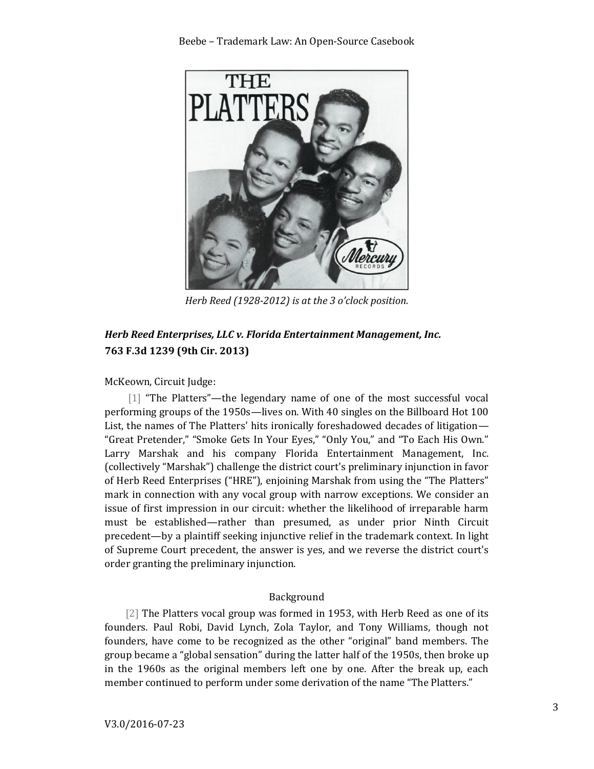

*Herb Reed (1928-2012) is at the 3 o'clock position.*

# <span id="page-2-0"></span>*Herb Reed Enterprises, LLC v. Florida Entertainment Management, Inc.* **763 F.3d 1239 (9th Cir. 2013)**

McKeown, Circuit Judge:

[1] "The Platters"—the legendary name of one of the most successful vocal performing groups of the 1950s—lives on. With 40 singles on the Billboard Hot 100 List, the names of The Platters' hits ironically foreshadowed decades of litigation— "Great Pretender," "Smoke Gets In Your Eyes," "Only You," and "To Each His Own." Larry Marshak and his company Florida Entertainment Management, Inc. (collectively "Marshak") challenge the district court's preliminary injunction in favor of Herb Reed Enterprises ("HRE"), enjoining Marshak from using the "The Platters" mark in connection with any vocal group with narrow exceptions. We consider an issue of first impression in our circuit: whether the likelihood of irreparable harm must be established—rather than presumed, as under prior Ninth Circuit precedent—by a plaintiff seeking injunctive relief in the trademark context. In light of Supreme Court precedent, the answer is yes, and we reverse the district court's order granting the preliminary injunction.

# Background

[2] The Platters vocal group was formed in 1953, with Herb Reed as one of its founders. Paul Robi, David Lynch, Zola Taylor, and Tony Williams, though not founders, have come to be recognized as the other "original" band members. The group became a "global sensation" during the latter half of the 1950s, then broke up in the 1960s as the original members left one by one. After the break up, each member continued to perform under some derivation of the name "The Platters."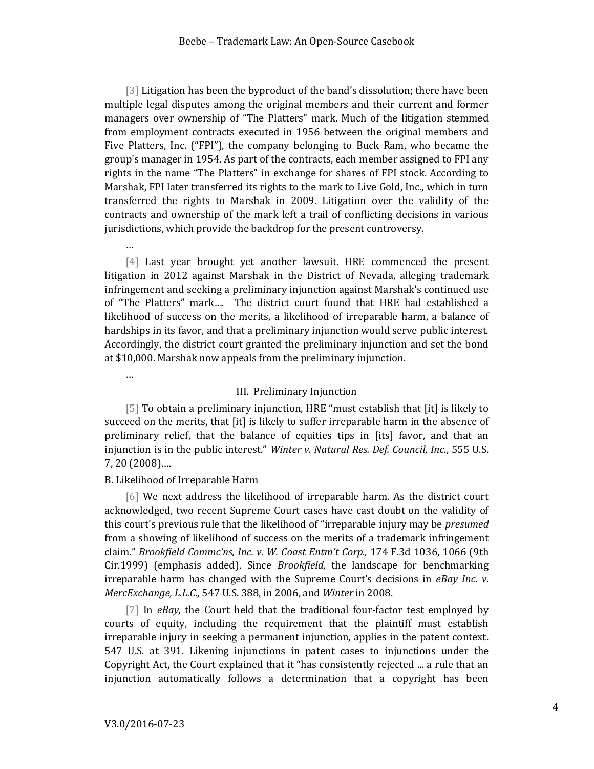[3] Litigation has been the byproduct of the band's dissolution; there have been multiple legal disputes among the original members and their current and former managers over ownership of "The Platters" mark. Much of the litigation stemmed from employment contracts executed in 1956 between the original members and Five Platters, Inc. ("FPI"), the company belonging to Buck Ram, who became the group's manager in 1954. As part of the contracts, each member assigned to FPI any rights in the name "The Platters" in exchange for shares of FPI stock. According to Marshak, FPI later transferred its rights to the mark to Live Gold, Inc., which in turn transferred the rights to Marshak in 2009. Litigation over the validity of the contracts and ownership of the mark left a trail of conflicting decisions in various jurisdictions, which provide the backdrop for the present controversy.

[4] Last year brought yet another lawsuit. HRE commenced the present litigation in 2012 against Marshak in the District of Nevada, alleging trademark infringement and seeking a preliminary injunction against Marshak's continued use of "The Platters" mark…. The district court found that HRE had established a likelihood of success on the merits, a likelihood of irreparable harm, a balance of hardships in its favor, and that a preliminary injunction would serve public interest. Accordingly, the district court granted the preliminary injunction and set the bond at \$10,000. Marshak now appeals from the preliminary injunction.

…

…

#### III. Preliminary Injunction

[5] To obtain a preliminary injunction, HRE "must establish that [it] is likely to succeed on the merits, that [it] is likely to suffer irreparable harm in the absence of preliminary relief, that the balance of equities tips in [its] favor, and that an injunction is in the public interest." *Winter v. Natural Res. Def. Council, Inc*., 555 U.S. 7, 20 (2008)….

## B. Likelihood of Irreparable Harm

[6] We next address the likelihood of irreparable harm. As the district court acknowledged, two recent Supreme Court cases have cast doubt on the validity of this court's previous rule that the likelihood of "irreparable injury may be *presumed*  from a showing of likelihood of success on the merits of a trademark infringement claim." *Brookfield Commc'ns, Inc. v. W. Coast Entm't Corp.,* 174 F.3d 1036, 1066 (9th Cir.1999) (emphasis added). Since *Brookfield,* the landscape for benchmarking irreparable harm has changed with the Supreme Court's decisions in *eBay Inc. v. MercExchange, L.L.C.,* 547 U.S. 388, in 2006, and *Winter* in 2008.

[7] In *eBay,* the Court held that the traditional four-factor test employed by courts of equity, including the requirement that the plaintiff must establish irreparable injury in seeking a permanent injunction, applies in the patent context. 547 U.S. at 391. Likening injunctions in patent cases to injunctions under the Copyright Act, the Court explained that it "has consistently rejected ... a rule that an injunction automatically follows a determination that a copyright has been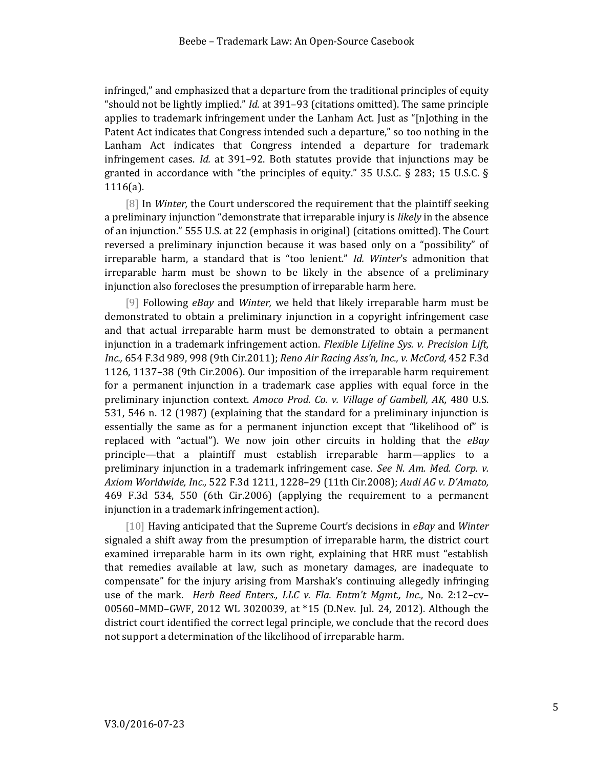infringed," and emphasized that a departure from the traditional principles of equity "should not be lightly implied." *Id.* at 391–93 (citations omitted). The same principle applies to trademark infringement under the Lanham Act. Just as "[n]othing in the Patent Act indicates that Congress intended such a departure," so too nothing in the Lanham Act indicates that Congress intended a departure for trademark infringement cases. *Id.* at 391–92. Both statutes provide that injunctions may be granted in accordance with "the principles of equity." 35 U.S.C. § 283; 15 U.S.C. § 1116(a).

[8] In *Winter,* the Court underscored the requirement that the plaintiff seeking a preliminary injunction "demonstrate that irreparable injury is *likely* in the absence of an injunction." 555 U.S. at 22 (emphasis in original) (citations omitted). The Court reversed a preliminary injunction because it was based only on a "possibility" of irreparable harm, a standard that is "too lenient." *Id. Winter*'s admonition that irreparable harm must be shown to be likely in the absence of a preliminary injunction also forecloses the presumption of irreparable harm here.

[9] Following *eBay* and *Winter,* we held that likely irreparable harm must be demonstrated to obtain a preliminary injunction in a copyright infringement case and that actual irreparable harm must be demonstrated to obtain a permanent injunction in a trademark infringement action. *Flexible Lifeline Sys. v. Precision Lift, Inc.,* 654 F.3d 989, 998 (9th Cir.2011); *Reno Air Racing Ass'n, Inc., v. McCord,* 452 F.3d 1126, 1137–38 (9th Cir.2006). Our imposition of the irreparable harm requirement for a permanent injunction in a trademark case applies with equal force in the preliminary injunction context. *Amoco Prod. Co. v. Village of Gambell, AK,* 480 U.S. 531, 546 n. 12 (1987) (explaining that the standard for a preliminary injunction is essentially the same as for a permanent injunction except that "likelihood of" is replaced with "actual"). We now join other circuits in holding that the *eBay* principle—that a plaintiff must establish irreparable harm—applies to a preliminary injunction in a trademark infringement case. *See N. Am. Med. Corp. v. Axiom Worldwide, Inc.,* 522 F.3d 1211, 1228–29 (11th Cir.2008); *Audi AG v. D'Amato,* 469 F.3d 534, 550 (6th Cir.2006) (applying the requirement to a permanent injunction in a trademark infringement action).

[10] Having anticipated that the Supreme Court's decisions in *eBay* and *Winter* signaled a shift away from the presumption of irreparable harm, the district court examined irreparable harm in its own right, explaining that HRE must "establish that remedies available at law, such as monetary damages, are inadequate to compensate" for the injury arising from Marshak's continuing allegedly infringing use of the mark. *Herb Reed Enters., LLC v. Fla. Entm't Mgmt., Inc.,* No. 2:12–cv– 00560–MMD–GWF, 2012 WL 3020039, at \*15 (D.Nev. Jul. 24, 2012). Although the district court identified the correct legal principle, we conclude that the record does not support a determination of the likelihood of irreparable harm.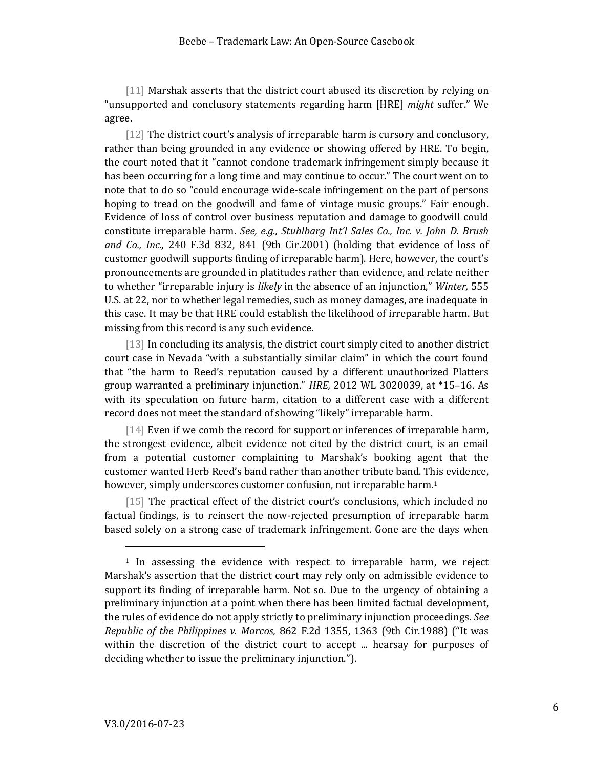[11] Marshak asserts that the district court abused its discretion by relying on "unsupported and conclusory statements regarding harm [HRE] *might* suffer." We agree.

[12] The district court's analysis of irreparable harm is cursory and conclusory, rather than being grounded in any evidence or showing offered by HRE. To begin, the court noted that it "cannot condone trademark infringement simply because it has been occurring for a long time and may continue to occur." The court went on to note that to do so "could encourage wide-scale infringement on the part of persons hoping to tread on the goodwill and fame of vintage music groups." Fair enough. Evidence of loss of control over business reputation and damage to goodwill could constitute irreparable harm. *See, e.g., Stuhlbarg Int'l Sales Co., Inc. v. John D. Brush and Co., Inc.,* 240 F.3d 832, 841 (9th Cir.2001) (holding that evidence of loss of customer goodwill supports finding of irreparable harm). Here, however, the court's pronouncements are grounded in platitudes rather than evidence, and relate neither to whether "irreparable injury is *likely* in the absence of an injunction," *Winter,* 555 U.S. at 22, nor to whether legal remedies, such as money damages, are inadequate in this case. It may be that HRE could establish the likelihood of irreparable harm. But missing from this record is any such evidence.

[13] In concluding its analysis, the district court simply cited to another district court case in Nevada "with a substantially similar claim" in which the court found that "the harm to Reed's reputation caused by a different unauthorized Platters group warranted a preliminary injunction." *HRE,* 2012 WL 3020039, at \*15–16. As with its speculation on future harm, citation to a different case with a different record does not meet the standard of showing "likely" irreparable harm.

[14] Even if we comb the record for support or inferences of irreparable harm, the strongest evidence, albeit evidence not cited by the district court, is an email from a potential customer complaining to Marshak's booking agent that the customer wanted Herb Reed's band rather than another tribute band. This evidence, however, simply underscores customer confusion, not irreparable harm.<sup>1</sup>

[15] The practical effect of the district court's conclusions, which included no factual findings, is to reinsert the now-rejected presumption of irreparable harm based solely on a strong case of trademark infringement. Gone are the days when

<sup>1</sup> In assessing the evidence with respect to irreparable harm, we reject Marshak's assertion that the district court may rely only on admissible evidence to support its finding of irreparable harm. Not so. Due to the urgency of obtaining a preliminary injunction at a point when there has been limited factual development, the rules of evidence do not apply strictly to preliminary injunction proceedings. *See Republic of the Philippines v. Marcos,* 862 F.2d 1355, 1363 (9th Cir.1988) ("It was within the discretion of the district court to accept ... hearsay for purposes of deciding whether to issue the preliminary injunction.").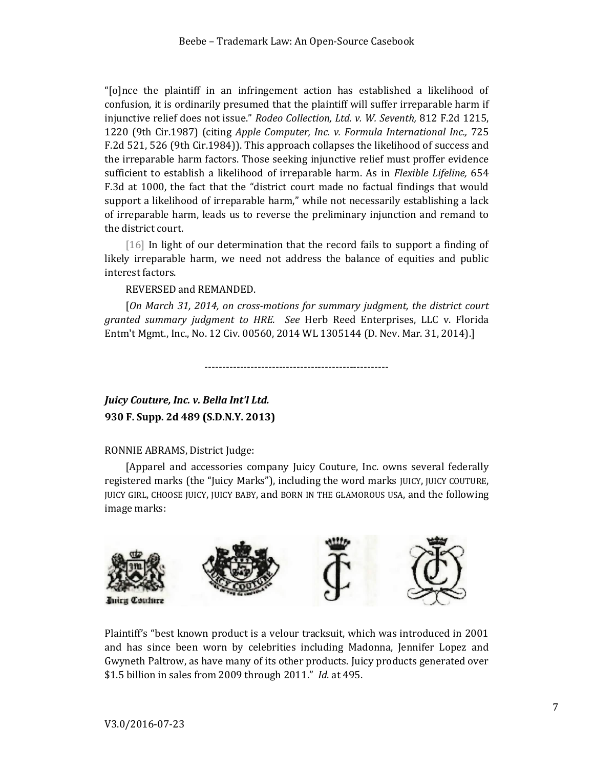"[o]nce the plaintiff in an infringement action has established a likelihood of confusion, it is ordinarily presumed that the plaintiff will suffer irreparable harm if injunctive relief does not issue." *Rodeo Collection, Ltd. v. W. Seventh,* 812 F.2d 1215, 1220 (9th Cir.1987) (citing *Apple Computer, Inc. v. Formula International Inc.,* 725 F.2d 521, 526 (9th Cir.1984)). This approach collapses the likelihood of success and the irreparable harm factors. Those seeking injunctive relief must proffer evidence sufficient to establish a likelihood of irreparable harm. As in *Flexible Lifeline,* 654 F.3d at 1000, the fact that the "district court made no factual findings that would support a likelihood of irreparable harm," while not necessarily establishing a lack of irreparable harm, leads us to reverse the preliminary injunction and remand to the district court.

[16] In light of our determination that the record fails to support a finding of likely irreparable harm, we need not address the balance of equities and public interest factors.

REVERSED and REMANDED.

[*On March 31, 2014, on cross-motions for summary judgment, the district court granted summary judgment to HRE. See* Herb Reed Enterprises, LLC v. Florida Entm't Mgmt., Inc., No. 12 Civ. 00560, 2014 WL 1305144 (D. Nev. Mar. 31, 2014).]

----------------------------------------------------

<span id="page-6-0"></span>*Juicy Couture, Inc. v. Bella Int'l Ltd.* **930 F. Supp. 2d 489 (S.D.N.Y. 2013)**

# RONNIE ABRAMS, District Judge:

[Apparel and accessories company Juicy Couture, Inc. owns several federally registered marks (the "Juicy Marks"), including the word marks JUICY, JUICY COUTURE, JUICY GIRL, CHOOSE JUICY, JUICY BABY, and BORN IN THE GLAMOROUS USA, and the following image marks:



Plaintiff's "best known product is a velour tracksuit, which was introduced in 2001 and has since been worn by celebrities including Madonna, Jennifer Lopez and Gwyneth Paltrow, as have many of its other products. Juicy products generated over \$1.5 billion in sales from 2009 through 2011." *Id*. at 495.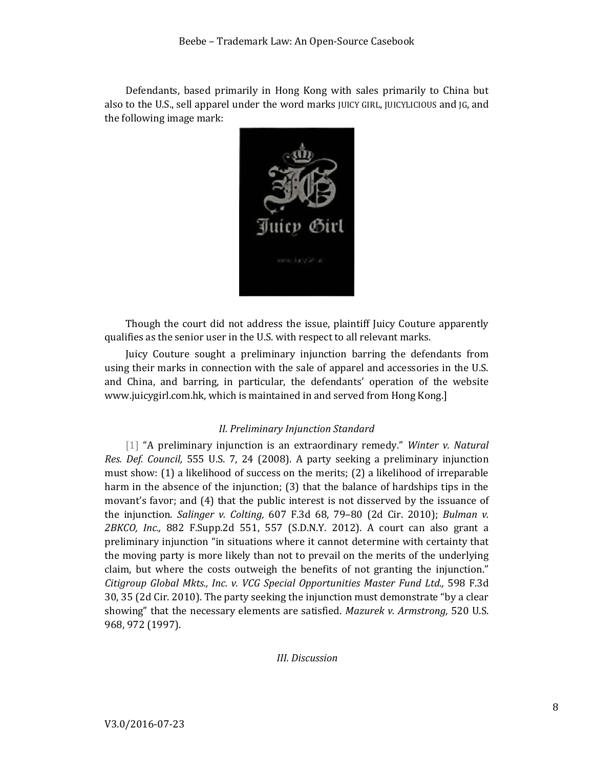Defendants, based primarily in Hong Kong with sales primarily to China but also to the U.S., sell apparel under the word marks JUICY GIRL, JUICYLICIOUS and JG, and the following image mark:



Though the court did not address the issue, plaintiff Juicy Couture apparently qualifies as the senior user in the U.S. with respect to all relevant marks.

Juicy Couture sought a preliminary injunction barring the defendants from using their marks in connection with the sale of apparel and accessories in the U.S. and China, and barring, in particular, the defendants' operation of the website www.juicygirl.com.hk, which is maintained in and served from Hong Kong.]

# *II. Preliminary Injunction Standard*

[1] "A preliminary injunction is an extraordinary remedy." *Winter v. Natural Res. Def. Council,* 555 U.S. 7, 24 (2008). A party seeking a preliminary injunction must show: (1) a likelihood of success on the merits; (2) a likelihood of irreparable harm in the absence of the injunction; (3) that the balance of hardships tips in the movant's favor; and (4) that the public interest is not disserved by the issuance of the injunction. *Salinger v. Colting,* 607 F.3d 68, 79–80 (2d Cir. 2010); *Bulman v. 2BKCO, Inc.,* 882 F.Supp.2d 551, 557 (S.D.N.Y. 2012). A court can also grant a preliminary injunction "in situations where it cannot determine with certainty that the moving party is more likely than not to prevail on the merits of the underlying claim, but where the costs outweigh the benefits of not granting the injunction." *Citigroup Global Mkts., Inc. v. VCG Special Opportunities Master Fund Ltd.,* 598 F.3d 30, 35 (2d Cir. 2010). The party seeking the injunction must demonstrate "by a clear showing" that the necessary elements are satisfied. *Mazurek v. Armstrong,* 520 U.S. 968, 972 (1997).

# *III. Discussion*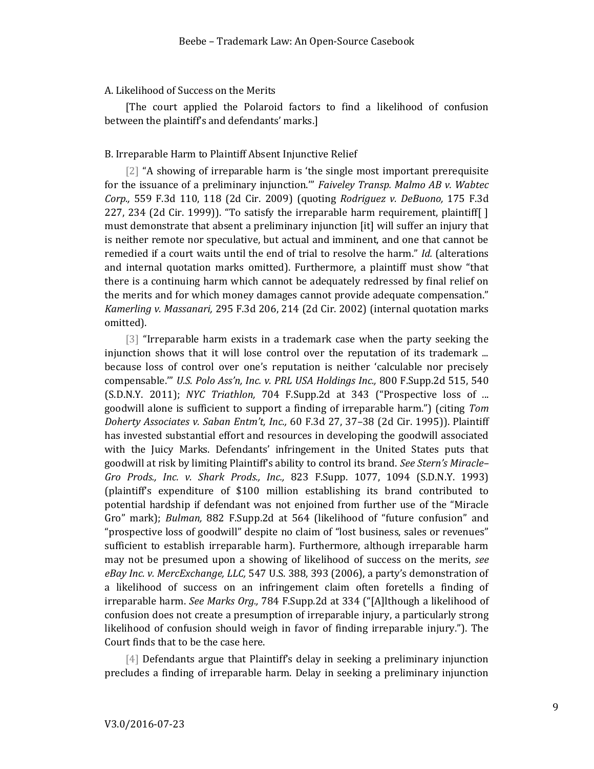### A. Likelihood of Success on the Merits

[The court applied the Polaroid factors to find a likelihood of confusion between the plaintiff's and defendants' marks.]

## B. Irreparable Harm to Plaintiff Absent Injunctive Relief

[2] "A showing of irreparable harm is 'the single most important prerequisite for the issuance of a preliminary injunction.'" *Faiveley Transp. Malmo AB v. Wabtec Corp.,* 559 F.3d 110, 118 (2d Cir. 2009) (quoting *Rodriguez v. DeBuono,* 175 F.3d 227, 234 (2d Cir. 1999)). "To satisfy the irreparable harm requirement, plaintiff[ ] must demonstrate that absent a preliminary injunction [it] will suffer an injury that is neither remote nor speculative, but actual and imminent, and one that cannot be remedied if a court waits until the end of trial to resolve the harm." *Id.* (alterations and internal quotation marks omitted). Furthermore, a plaintiff must show "that there is a continuing harm which cannot be adequately redressed by final relief on the merits and for which money damages cannot provide adequate compensation." *Kamerling v. Massanari,* 295 F.3d 206, 214 (2d Cir. 2002) (internal quotation marks omitted).

[3] "Irreparable harm exists in a trademark case when the party seeking the injunction shows that it will lose control over the reputation of its trademark ... because loss of control over one's reputation is neither 'calculable nor precisely compensable.'" *U.S. Polo Ass'n, Inc. v. PRL USA Holdings Inc.,* 800 F.Supp.2d 515, 540 (S.D.N.Y. 2011); *NYC Triathlon,* 704 F.Supp.2d at 343 ("Prospective loss of ... goodwill alone is sufficient to support a finding of irreparable harm.") (citing *Tom Doherty Associates v. Saban Entm't, Inc.,* 60 F.3d 27, 37–38 (2d Cir. 1995)). Plaintiff has invested substantial effort and resources in developing the goodwill associated with the Juicy Marks. Defendants' infringement in the United States puts that goodwill at risk by limiting Plaintiff's ability to control its brand. *See Stern's Miracle– Gro Prods., Inc. v. Shark Prods., Inc.,* 823 F.Supp. 1077, 1094 (S.D.N.Y. 1993) (plaintiff's expenditure of \$100 million establishing its brand contributed to potential hardship if defendant was not enjoined from further use of the "Miracle Gro" mark); *Bulman,* 882 F.Supp.2d at 564 (likelihood of "future confusion" and "prospective loss of goodwill" despite no claim of "lost business, sales or revenues" sufficient to establish irreparable harm). Furthermore, although irreparable harm may not be presumed upon a showing of likelihood of success on the merits, *see eBay Inc. v. MercExchange, LLC,* 547 U.S. 388, 393 (2006), a party's demonstration of a likelihood of success on an infringement claim often foretells a finding of irreparable harm. *See Marks Org.,* 784 F.Supp.2d at 334 ("[A]lthough a likelihood of confusion does not create a presumption of irreparable injury, a particularly strong likelihood of confusion should weigh in favor of finding irreparable injury."). The Court finds that to be the case here.

[4] Defendants argue that Plaintiff's delay in seeking a preliminary injunction precludes a finding of irreparable harm. Delay in seeking a preliminary injunction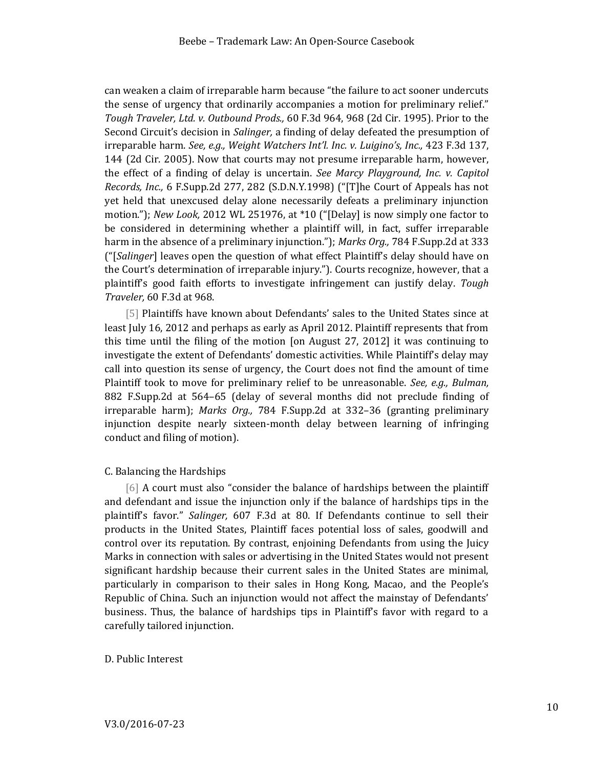can weaken a claim of irreparable harm because "the failure to act sooner undercuts the sense of urgency that ordinarily accompanies a motion for preliminary relief." *Tough Traveler, Ltd. v. Outbound Prods.,* 60 F.3d 964, 968 (2d Cir. 1995). Prior to the Second Circuit's decision in *Salinger,* a finding of delay defeated the presumption of irreparable harm. *See, e.g., Weight Watchers Int'l. Inc. v. Luigino's, Inc.,* 423 F.3d 137, 144 (2d Cir. 2005). Now that courts may not presume irreparable harm, however, the effect of a finding of delay is uncertain. *See Marcy Playground, Inc. v. Capitol Records, Inc.,* 6 F.Supp.2d 277, 282 (S.D.N.Y.1998) ("[T]he Court of Appeals has not yet held that unexcused delay alone necessarily defeats a preliminary injunction motion."); *New Look,* 2012 WL 251976, at \*10 ("[Delay] is now simply one factor to be considered in determining whether a plaintiff will, in fact, suffer irreparable harm in the absence of a preliminary injunction."); *Marks Org.,* 784 F.Supp.2d at 333 ("[*Salinger*] leaves open the question of what effect Plaintiff's delay should have on the Court's determination of irreparable injury."). Courts recognize, however, that a plaintiff's good faith efforts to investigate infringement can justify delay. *Tough Traveler,* 60 F.3d at 968.

[5] Plaintiffs have known about Defendants' sales to the United States since at least July 16, 2012 and perhaps as early as April 2012. Plaintiff represents that from this time until the filing of the motion [on August 27, 2012] it was continuing to investigate the extent of Defendants' domestic activities. While Plaintiff's delay may call into question its sense of urgency, the Court does not find the amount of time Plaintiff took to move for preliminary relief to be unreasonable. *See, e.g., Bulman,* 882 F.Supp.2d at 564–65 (delay of several months did not preclude finding of irreparable harm); *Marks Org.,* 784 F.Supp.2d at 332–36 (granting preliminary injunction despite nearly sixteen-month delay between learning of infringing conduct and filing of motion).

#### C. Balancing the Hardships

[6] A court must also "consider the balance of hardships between the plaintiff and defendant and issue the injunction only if the balance of hardships tips in the plaintiff's favor." *Salinger,* 607 F.3d at 80. If Defendants continue to sell their products in the United States, Plaintiff faces potential loss of sales, goodwill and control over its reputation. By contrast, enjoining Defendants from using the Juicy Marks in connection with sales or advertising in the United States would not present significant hardship because their current sales in the United States are minimal, particularly in comparison to their sales in Hong Kong, Macao, and the People's Republic of China. Such an injunction would not affect the mainstay of Defendants' business. Thus, the balance of hardships tips in Plaintiff's favor with regard to a carefully tailored injunction.

# D. Public Interest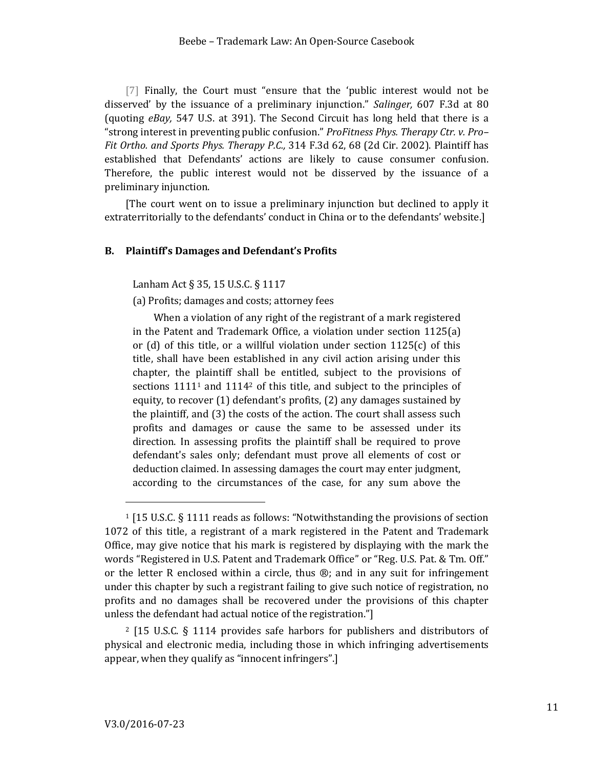[7] Finally, the Court must "ensure that the 'public interest would not be disserved' by the issuance of a preliminary injunction." *Salinger,* 607 F.3d at 80 (quoting *eBay,* 547 U.S. at 391). The Second Circuit has long held that there is a "strong interest in preventing public confusion." *ProFitness Phys. Therapy Ctr. v. Pro– Fit Ortho. and Sports Phys. Therapy P.C.,* 314 F.3d 62, 68 (2d Cir. 2002). Plaintiff has established that Defendants' actions are likely to cause consumer confusion. Therefore, the public interest would not be disserved by the issuance of a preliminary injunction.

[The court went on to issue a preliminary injunction but declined to apply it extraterritorially to the defendants' conduct in China or to the defendants' website.]

### <span id="page-10-0"></span>**B. Plaintiff's Damages and Defendant's Profits**

Lanham Act § 35, 15 U.S.C. § 1117

(a) Profits; damages and costs; attorney fees

When a violation of any right of the registrant of a mark registered in the Patent and Trademark Office, a violation under section 1125(a) or (d) of this title, or a willful violation under section  $1125(c)$  of this title, shall have been established in any civil action arising under this chapter, the plaintiff shall be entitled, subject to the provisions of sections 1111<sup>1</sup> and 1114<sup>2</sup> of this title, and subject to the principles of equity, to recover (1) defendant's profits, (2) any damages sustained by the plaintiff, and (3) the costs of the action. The court shall assess such profits and damages or cause the same to be assessed under its direction. In assessing profits the plaintiff shall be required to prove defendant's sales only; defendant must prove all elements of cost or deduction claimed. In assessing damages the court may enter judgment, according to the circumstances of the case, for any sum above the

l

<sup>1</sup> [15 U.S.C. § 1111 reads as follows: "Notwithstanding the provisions of section 1072 of this title, a registrant of a mark registered in the Patent and Trademark Office, may give notice that his mark is registered by displaying with the mark the words "Registered in U.S. Patent and Trademark Office" or "Reg. U.S. Pat. & Tm. Off." or the letter R enclosed within a circle, thus  $\mathcal{B}$ ; and in any suit for infringement under this chapter by such a registrant failing to give such notice of registration, no profits and no damages shall be recovered under the provisions of this chapter unless the defendant had actual notice of the registration."]

<sup>2</sup> [15 U.S.C. § 1114 provides safe harbors for publishers and distributors of physical and electronic media, including those in which infringing advertisements appear, when they qualify as "innocent infringers".]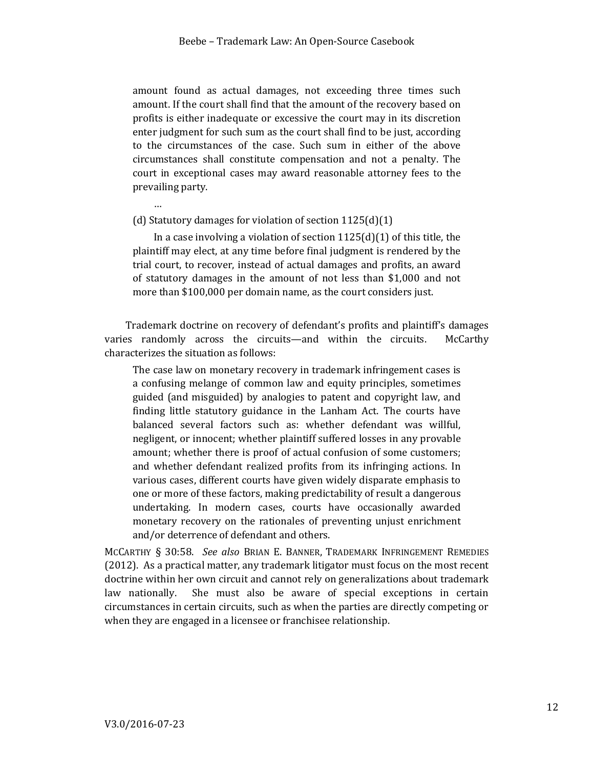amount found as actual damages, not exceeding three times such amount. If the court shall find that the amount of the recovery based on profits is either inadequate or excessive the court may in its discretion enter judgment for such sum as the court shall find to be just, according to the circumstances of the case. Such sum in either of the above circumstances shall constitute compensation and not a penalty. The court in exceptional cases may award reasonable attorney fees to the prevailing party.

(d) Statutory damages for violation of section 1125(d)(1)

…

In a case involving a violation of section  $1125(d)(1)$  of this title, the plaintiff may elect, at any time before final judgment is rendered by the trial court, to recover, instead of actual damages and profits, an award of statutory damages in the amount of not less than \$1,000 and not more than \$100,000 per domain name, as the court considers just.

Trademark doctrine on recovery of defendant's profits and plaintiff's damages varies randomly across the circuits—and within the circuits. McCarthy characterizes the situation as follows:

The case law on monetary recovery in trademark infringement cases is a confusing melange of common law and equity principles, sometimes guided (and misguided) by analogies to patent and copyright law, and finding little statutory guidance in the Lanham Act. The courts have balanced several factors such as: whether defendant was willful, negligent, or innocent; whether plaintiff suffered losses in any provable amount; whether there is proof of actual confusion of some customers; and whether defendant realized profits from its infringing actions. In various cases, different courts have given widely disparate emphasis to one or more of these factors, making predictability of result a dangerous undertaking. In modern cases, courts have occasionally awarded monetary recovery on the rationales of preventing unjust enrichment and/or deterrence of defendant and others.

MCCARTHY § 30:58. *See also* BRIAN E. BANNER, TRADEMARK INFRINGEMENT REMEDIES (2012). As a practical matter, any trademark litigator must focus on the most recent doctrine within her own circuit and cannot rely on generalizations about trademark law nationally. She must also be aware of special exceptions in certain circumstances in certain circuits, such as when the parties are directly competing or when they are engaged in a licensee or franchisee relationship.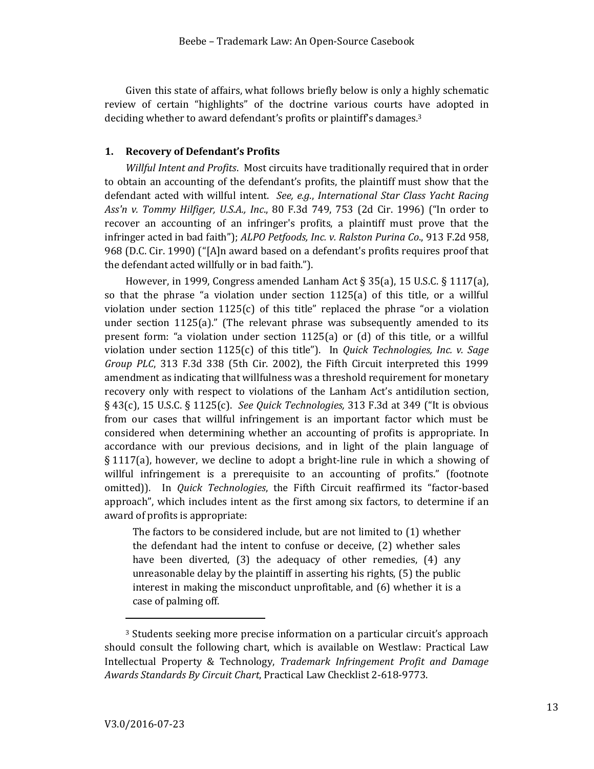Given this state of affairs, what follows briefly below is only a highly schematic review of certain "highlights" of the doctrine various courts have adopted in deciding whether to award defendant's profits or plaintiff's damages.<sup>3</sup>

#### <span id="page-12-0"></span>**1. Recovery of Defendant's Profits**

*Willful Intent and Profits*. Most circuits have traditionally required that in order to obtain an accounting of the defendant's profits, the plaintiff must show that the defendant acted with willful intent. *See, e.g*., *International Star Class Yacht Racing Ass'n v. Tommy Hilfiger, U.S.A., Inc*., 80 F.3d 749, 753 (2d Cir. 1996) ("In order to recover an accounting of an infringer's profits, a plaintiff must prove that the infringer acted in bad faith"); *ALPO Petfoods, Inc. v. Ralston Purina Co*., 913 F.2d 958, 968 (D.C. Cir. 1990) ("[A]n award based on a defendant's profits requires proof that the defendant acted willfully or in bad faith.").

However, in 1999, Congress amended Lanham Act § 35(a), 15 U.S.C. § 1117(a), so that the phrase "a violation under section 1125(a) of this title, or a willful violation under section  $1125(c)$  of this title" replaced the phrase "or a violation under section 1125(a)." (The relevant phrase was subsequently amended to its present form: "a violation under section 1125(a) or (d) of this title, or a willful violation under section 1125(c) of this title"). In *Quick Technologies, Inc. v. Sage Group PLC*, 313 F.3d 338 (5th Cir. 2002), the Fifth Circuit interpreted this 1999 amendment as indicating that willfulness was a threshold requirement for monetary recovery only with respect to violations of the Lanham Act's antidilution section, § 43(c), 15 U.S.C. § 1125(c). *See Quick Technologies,* 313 F.3d at 349 ("It is obvious from our cases that willful infringement is an important factor which must be considered when determining whether an accounting of profits is appropriate. In accordance with our previous decisions, and in light of the plain language of § 1117(a), however, we decline to adopt a bright-line rule in which a showing of willful infringement is a prerequisite to an accounting of profits." (footnote omitted)). In *Quick Technologies*, the Fifth Circuit reaffirmed its "factor-based approach", which includes intent as the first among six factors, to determine if an award of profits is appropriate:

The factors to be considered include, but are not limited to (1) whether the defendant had the intent to confuse or deceive, (2) whether sales have been diverted, (3) the adequacy of other remedies, (4) any unreasonable delay by the plaintiff in asserting his rights, (5) the public interest in making the misconduct unprofitable, and (6) whether it is a case of palming off.

l

<sup>3</sup> Students seeking more precise information on a particular circuit's approach should consult the following chart, which is available on Westlaw: Practical Law Intellectual Property & Technology, *Trademark Infringement Profit and Damage Awards Standards By Circuit Chart*, Practical Law Checklist 2-618-9773.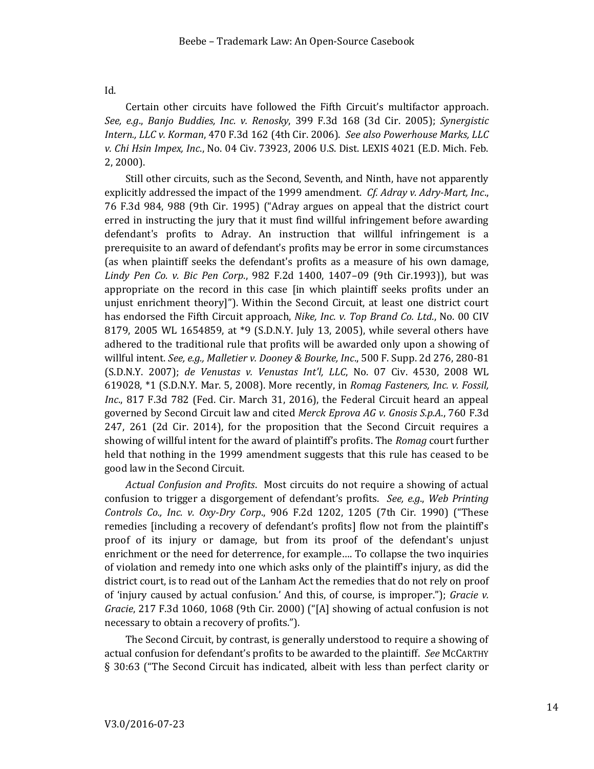# Id.

Certain other circuits have followed the Fifth Circuit's multifactor approach. *See, e.g*., *Banjo Buddies, Inc. v. Renosky*, 399 F.3d 168 (3d Cir. 2005); *Synergistic Intern., LLC v. Korman*, 470 F.3d 162 (4th Cir. 2006). *See also Powerhouse Marks, LLC v. Chi Hsin Impex, Inc*., No. 04 Civ. 73923, 2006 U.S. Dist. LEXIS 4021 (E.D. Mich. Feb. 2, 2000).

Still other circuits, such as the Second, Seventh, and Ninth, have not apparently explicitly addressed the impact of the 1999 amendment. *Cf. Adray v. Adry-Mart, Inc*., 76 F.3d 984, 988 (9th Cir. 1995) ("Adray argues on appeal that the district court erred in instructing the jury that it must find willful infringement before awarding defendant's profits to Adray. An instruction that willful infringement is a prerequisite to an award of defendant's profits may be error in some circumstances (as when plaintiff seeks the defendant's profits as a measure of his own damage, *Lindy Pen Co. v. Bic Pen Corp*., 982 F.2d 1400, 1407–09 (9th Cir.1993)), but was appropriate on the record in this case [in which plaintiff seeks profits under an unjust enrichment theory]"). Within the Second Circuit, at least one district court has endorsed the Fifth Circuit approach, *Nike, Inc. v. Top Brand Co. Ltd*., No. 00 CIV 8179, 2005 WL 1654859, at \*9 (S.D.N.Y. July 13, 2005), while several others have adhered to the traditional rule that profits will be awarded only upon a showing of willful intent. *See, e.g., Malletier v. Dooney & Bourke, Inc*., 500 F. Supp. 2d 276, 280-81 (S.D.N.Y. 2007); *de Venustas v. Venustas Int'l, LLC*, No. 07 Civ. 4530, 2008 WL 619028, \*1 (S.D.N.Y. Mar. 5, 2008). More recently, in *Romag Fasteners, Inc. v. Fossil, Inc*., 817 F.3d 782 (Fed. Cir. March 31, 2016), the Federal Circuit heard an appeal governed by Second Circuit law and cited *Merck Eprova AG v. Gnosis S.p.A*., 760 F.3d 247, 261 (2d Cir. 2014), for the proposition that the Second Circuit requires a showing of willful intent for the award of plaintiff's profits. The *Romag* court further held that nothing in the 1999 amendment suggests that this rule has ceased to be good law in the Second Circuit.

*Actual Confusion and Profits*. Most circuits do not require a showing of actual confusion to trigger a disgorgement of defendant's profits. *See, e.g*., *Web Printing Controls Co., Inc. v. Oxy-Dry Corp*., 906 F.2d 1202, 1205 (7th Cir. 1990) ("These remedies [including a recovery of defendant's profits] flow not from the plaintiff's proof of its injury or damage, but from its proof of the defendant's unjust enrichment or the need for deterrence, for example…. To collapse the two inquiries of violation and remedy into one which asks only of the plaintiff's injury, as did the district court, is to read out of the Lanham Act the remedies that do not rely on proof of 'injury caused by actual confusion.' And this, of course, is improper."); *Gracie v. Gracie*, 217 F.3d 1060, 1068 (9th Cir. 2000) ("[A] showing of actual confusion is not necessary to obtain a recovery of profits.").

The Second Circuit, by contrast, is generally understood to require a showing of actual confusion for defendant's profits to be awarded to the plaintiff. *See* MCCARTHY § 30:63 ("The Second Circuit has indicated, albeit with less than perfect clarity or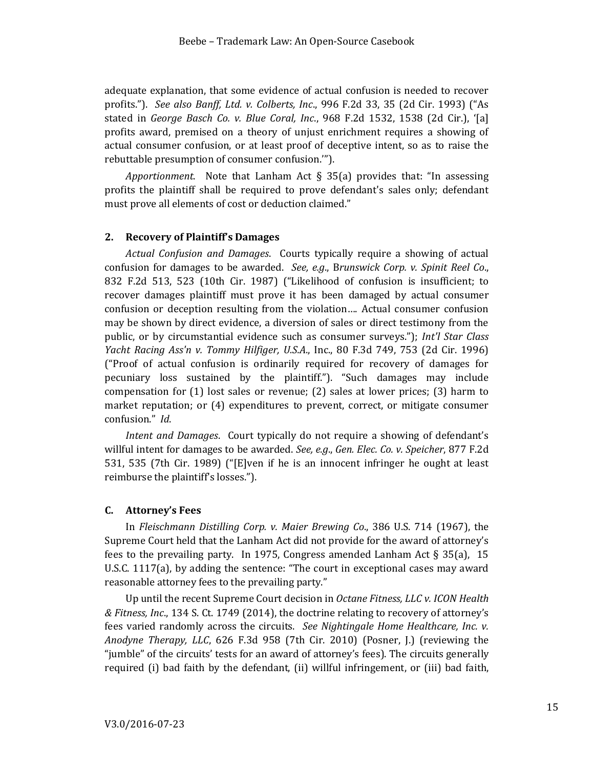adequate explanation, that some evidence of actual confusion is needed to recover profits."). *See also Banff, Ltd. v. Colberts, Inc*., 996 F.2d 33, 35 (2d Cir. 1993) ("As stated in *George Basch Co. v. Blue Coral, Inc*., 968 F.2d 1532, 1538 (2d Cir.), '[a] profits award, premised on a theory of unjust enrichment requires a showing of actual consumer confusion, or at least proof of deceptive intent, so as to raise the rebuttable presumption of consumer confusion.'").

*Apportionment*. Note that Lanham Act § 35(a) provides that: "In assessing profits the plaintiff shall be required to prove defendant's sales only; defendant must prove all elements of cost or deduction claimed."

#### <span id="page-14-0"></span>**2. Recovery of Plaintiff's Damages**

*Actual Confusion and Damages*. Courts typically require a showing of actual confusion for damages to be awarded. *See, e.g*., B*runswick Corp. v. Spinit Reel Co*., 832 F.2d 513, 523 (10th Cir. 1987) ("Likelihood of confusion is insufficient; to recover damages plaintiff must prove it has been damaged by actual consumer confusion or deception resulting from the violation…. Actual consumer confusion may be shown by direct evidence, a diversion of sales or direct testimony from the public, or by circumstantial evidence such as consumer surveys."); *Int'l Star Class Yacht Racing Ass'n v. Tommy Hilfiger, U.S.A*., Inc., 80 F.3d 749, 753 (2d Cir. 1996) ("Proof of actual confusion is ordinarily required for recovery of damages for pecuniary loss sustained by the plaintiff."). "Such damages may include compensation for (1) lost sales or revenue; (2) sales at lower prices; (3) harm to market reputation; or (4) expenditures to prevent, correct, or mitigate consumer confusion." *Id*.

*Intent and Damages*. Court typically do not require a showing of defendant's willful intent for damages to be awarded. *See, e.g*., *Gen. Elec. Co. v. Speicher*, 877 F.2d 531, 535 (7th Cir. 1989) ("[E]ven if he is an innocent infringer he ought at least reimburse the plaintiff's losses.").

#### <span id="page-14-1"></span>**C. Attorney's Fees**

In *Fleischmann Distilling Corp. v. Maier Brewing Co*., 386 U.S. 714 (1967), the Supreme Court held that the Lanham Act did not provide for the award of attorney's fees to the prevailing party. In 1975, Congress amended Lanham Act § 35(a), 15 U.S.C. 1117(a), by adding the sentence: "The court in exceptional cases may award reasonable attorney fees to the prevailing party."

Up until the recent Supreme Court decision in *Octane Fitness, LLC v. ICON Health & Fitness, Inc*., 134 S. Ct. 1749 (2014), the doctrine relating to recovery of attorney's fees varied randomly across the circuits. *See Nightingale Home Healthcare, Inc. v. Anodyne Therapy, LLC*, 626 F.3d 958 (7th Cir. 2010) (Posner, J.) (reviewing the "jumble" of the circuits' tests for an award of attorney's fees). The circuits generally required (i) bad faith by the defendant, (ii) willful infringement, or (iii) bad faith,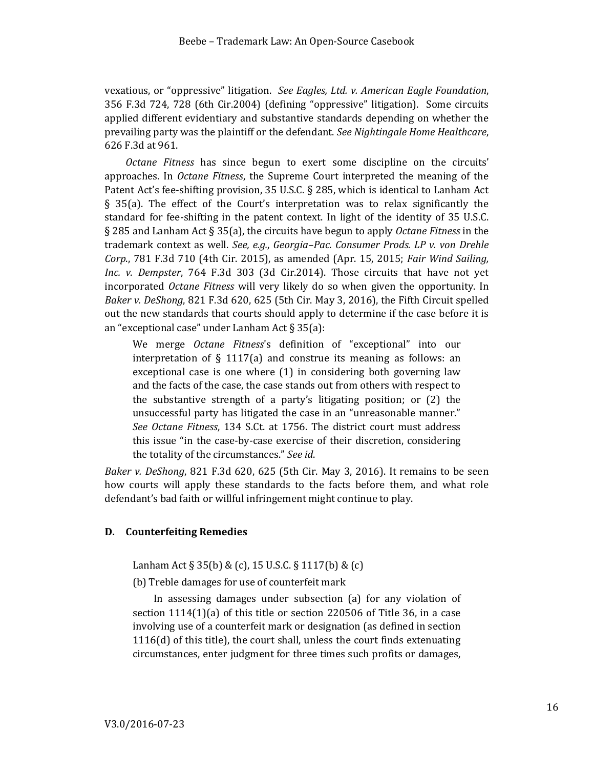vexatious, or "oppressive" litigation. *See Eagles, Ltd. v. American Eagle Foundation*, 356 F.3d 724, 728 (6th Cir.2004) (defining "oppressive" litigation). Some circuits applied different evidentiary and substantive standards depending on whether the prevailing party was the plaintiff or the defendant. *See Nightingale Home Healthcare*, 626 F.3d at 961.

*Octane Fitness* has since begun to exert some discipline on the circuits' approaches. In *Octane Fitness*, the Supreme Court interpreted the meaning of the Patent Act's fee-shifting provision, 35 U.S.C. § 285, which is identical to Lanham Act § 35(a). The effect of the Court's interpretation was to relax significantly the standard for fee-shifting in the patent context. In light of the identity of 35 U.S.C. § 285 and Lanham Act § 35(a), the circuits have begun to apply *Octane Fitness* in the trademark context as well. *See, e.g.*, *Georgia–Pac. Consumer Prods. LP v. von Drehle Corp*., 781 F.3d 710 (4th Cir. 2015), as amended (Apr. 15, 2015; *Fair Wind Sailing, Inc. v. Dempster*, 764 F.3d 303 (3d Cir.2014). Those circuits that have not yet incorporated *Octane Fitness* will very likely do so when given the opportunity. In *Baker v. DeShong*, 821 F.3d 620, 625 (5th Cir. May 3, 2016), the Fifth Circuit spelled out the new standards that courts should apply to determine if the case before it is an "exceptional case" under Lanham Act § 35(a):

We merge *Octane Fitness*'s definition of "exceptional" into our interpretation of § 1117(a) and construe its meaning as follows: an exceptional case is one where (1) in considering both governing law and the facts of the case, the case stands out from others with respect to the substantive strength of a party's litigating position; or (2) the unsuccessful party has litigated the case in an "unreasonable manner." *See Octane Fitness*, 134 S.Ct. at 1756. The district court must address this issue "in the case-by-case exercise of their discretion, considering the totality of the circumstances." *See id*.

*Baker v. DeShong*, 821 F.3d 620, 625 (5th Cir. May 3, 2016). It remains to be seen how courts will apply these standards to the facts before them, and what role defendant's bad faith or willful infringement might continue to play.

#### <span id="page-15-0"></span>**D. Counterfeiting Remedies**

Lanham Act § 35(b) & (c), 15 U.S.C. § 1117(b) & (c)

(b) Treble damages for use of counterfeit mark

In assessing damages under subsection (a) for any violation of section 1114(1)(a) of this title or section 220506 of Title 36, in a case involving use of a counterfeit mark or designation (as defined in section 1116(d) of this title), the court shall, unless the court finds extenuating circumstances, enter judgment for three times such profits or damages,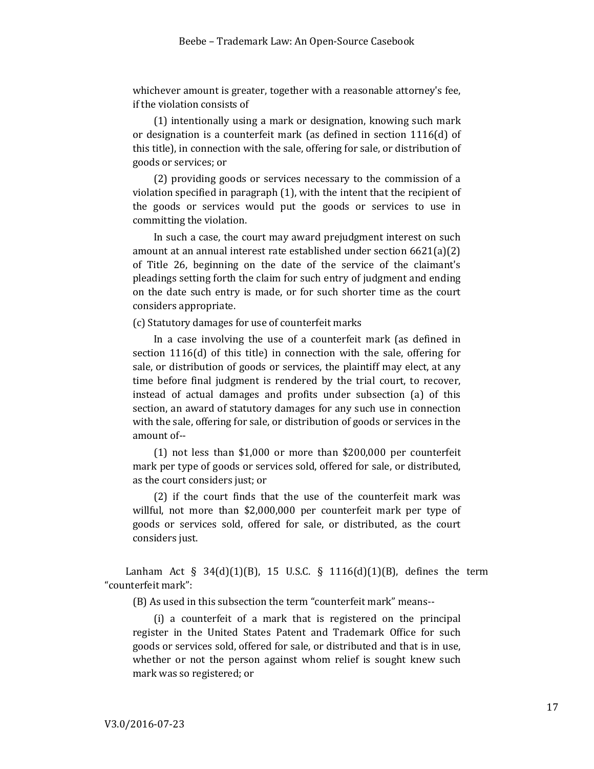whichever amount is greater, together with a reasonable attorney's fee, if the violation consists of

(1) intentionally using a mark or designation, knowing such mark or designation is a counterfeit mark (as defined in section 1116(d) of this title), in connection with the sale, offering for sale, or distribution of goods or services; or

(2) providing goods or services necessary to the commission of a violation specified in paragraph (1), with the intent that the recipient of the goods or services would put the goods or services to use in committing the violation.

In such a case, the court may award prejudgment interest on such amount at an annual interest rate established under section 6621(a)(2) of Title 26, beginning on the date of the service of the claimant's pleadings setting forth the claim for such entry of judgment and ending on the date such entry is made, or for such shorter time as the court considers appropriate.

(c) Statutory damages for use of counterfeit marks

In a case involving the use of a counterfeit mark (as defined in section 1116(d) of this title) in connection with the sale, offering for sale, or distribution of goods or services, the plaintiff may elect, at any time before final judgment is rendered by the trial court, to recover, instead of actual damages and profits under subsection (a) of this section, an award of statutory damages for any such use in connection with the sale, offering for sale, or distribution of goods or services in the amount of--

(1) not less than \$1,000 or more than \$200,000 per counterfeit mark per type of goods or services sold, offered for sale, or distributed, as the court considers just; or

(2) if the court finds that the use of the counterfeit mark was willful, not more than \$2,000,000 per counterfeit mark per type of goods or services sold, offered for sale, or distributed, as the court considers just.

Lanham Act  $\S$  34(d)(1)(B), 15 U.S.C.  $\S$  1116(d)(1)(B), defines the term "counterfeit mark":

(B) As used in this subsection the term "counterfeit mark" means--

(i) a counterfeit of a mark that is registered on the principal register in the United States Patent and Trademark Office for such goods or services sold, offered for sale, or distributed and that is in use, whether or not the person against whom relief is sought knew such mark was so registered; or